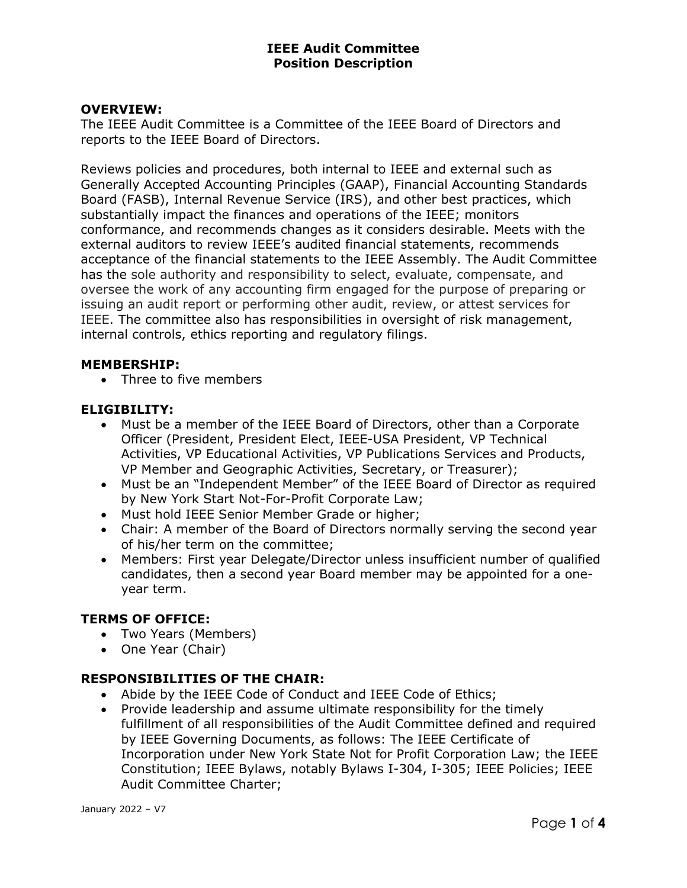### OVERVIEW:

The IEEE Audit Committee is a Committee of the IEEE Board of Directors and reports to the IEEE Board of Directors.

Reviews policies and procedures, both internal to IEEE and external such as Generally Accepted Accounting Principles (GAAP), Financial Accounting Standards Board (FASB), Internal Revenue Service (IRS), and other best practices, which substantially impact the finances and operations of the IEEE; monitors conformance, and recommends changes as it considers desirable. Meets with the external auditors to review IEEE's audited financial statements, recommends acceptance of the financial statements to the IEEE Assembly. The Audit Committee has the sole authority and responsibility to select, evaluate, compensate, and oversee the work of any accounting firm engaged for the purpose of preparing or issuing an audit report or performing other audit, review, or attest services for IEEE. The committee also has responsibilities in oversight of risk management, internal controls, ethics reporting and regulatory filings.

#### MEMBERSHIP:

Three to five members

### ELIGIBILITY:

- Must be a member of the IEEE Board of Directors, other than a Corporate Officer (President, President Elect, IEEE-USA President, VP Technical Activities, VP Educational Activities, VP Publications Services and Products, VP Member and Geographic Activities, Secretary, or Treasurer);
- Must be an "Independent Member" of the IEEE Board of Director as required by New York Start Not-For-Profit Corporate Law;
- Must hold IEEE Senior Member Grade or higher;
- Chair: A member of the Board of Directors normally serving the second year of his/her term on the committee;
- Members: First year Delegate/Director unless insufficient number of qualified candidates, then a second year Board member may be appointed for a oneyear term.

### TERMS OF OFFICE:

- Two Years (Members)
- One Year (Chair)

### RESPONSIBILITIES OF THE CHAIR:

- Abide by the IEEE Code of Conduct and IEEE Code of Ethics;
- Provide leadership and assume ultimate responsibility for the timely fulfillment of all responsibilities of the Audit Committee defined and required by IEEE Governing Documents, as follows: The IEEE Certificate of Incorporation under New York State Not for Profit Corporation Law; the IEEE Constitution; IEEE Bylaws, notably Bylaws I-304, I-305; IEEE Policies; IEEE Audit Committee Charter;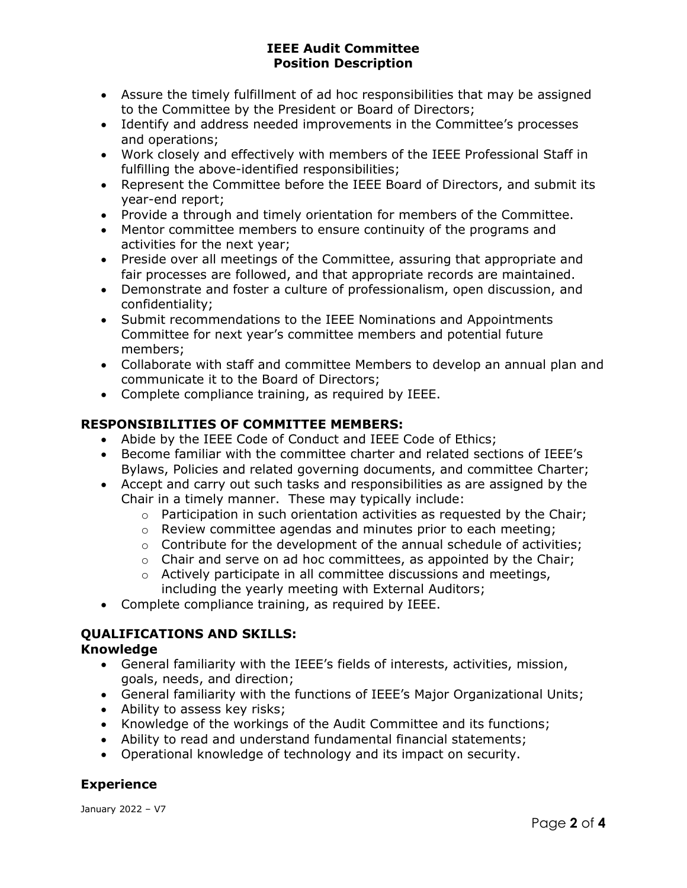- Assure the timely fulfillment of ad hoc responsibilities that may be assigned to the Committee by the President or Board of Directors;
- Identify and address needed improvements in the Committee's processes and operations;
- Work closely and effectively with members of the IEEE Professional Staff in fulfilling the above-identified responsibilities;
- Represent the Committee before the IEEE Board of Directors, and submit its year-end report;
- Provide a through and timely orientation for members of the Committee.
- Mentor committee members to ensure continuity of the programs and activities for the next year;
- Preside over all meetings of the Committee, assuring that appropriate and fair processes are followed, and that appropriate records are maintained.
- Demonstrate and foster a culture of professionalism, open discussion, and confidentiality;
- Submit recommendations to the IEEE Nominations and Appointments Committee for next year's committee members and potential future members;
- Collaborate with staff and committee Members to develop an annual plan and communicate it to the Board of Directors;
- Complete compliance training, as required by IEEE.

# RESPONSIBILITIES OF COMMITTEE MEMBERS:

- Abide by the IEEE Code of Conduct and IEEE Code of Ethics;
- Become familiar with the committee charter and related sections of IEEE's Bylaws, Policies and related governing documents, and committee Charter;
- Accept and carry out such tasks and responsibilities as are assigned by the Chair in a timely manner. These may typically include:
	- $\circ$  Participation in such orientation activities as requested by the Chair:
	- o Review committee agendas and minutes prior to each meeting;
	- o Contribute for the development of the annual schedule of activities;
	- $\circ$  Chair and serve on ad hoc committees, as appointed by the Chair;
	- o Actively participate in all committee discussions and meetings, including the yearly meeting with External Auditors;
- Complete compliance training, as required by IEEE.

# QUALIFICATIONS AND SKILLS:

## Knowledge

- General familiarity with the IEEE's fields of interests, activities, mission, goals, needs, and direction;
- General familiarity with the functions of IEEE's Major Organizational Units;
- Ability to assess key risks;
- Knowledge of the workings of the Audit Committee and its functions;
- Ability to read and understand fundamental financial statements;
- Operational knowledge of technology and its impact on security.

# **Experience**

January 2022 – V7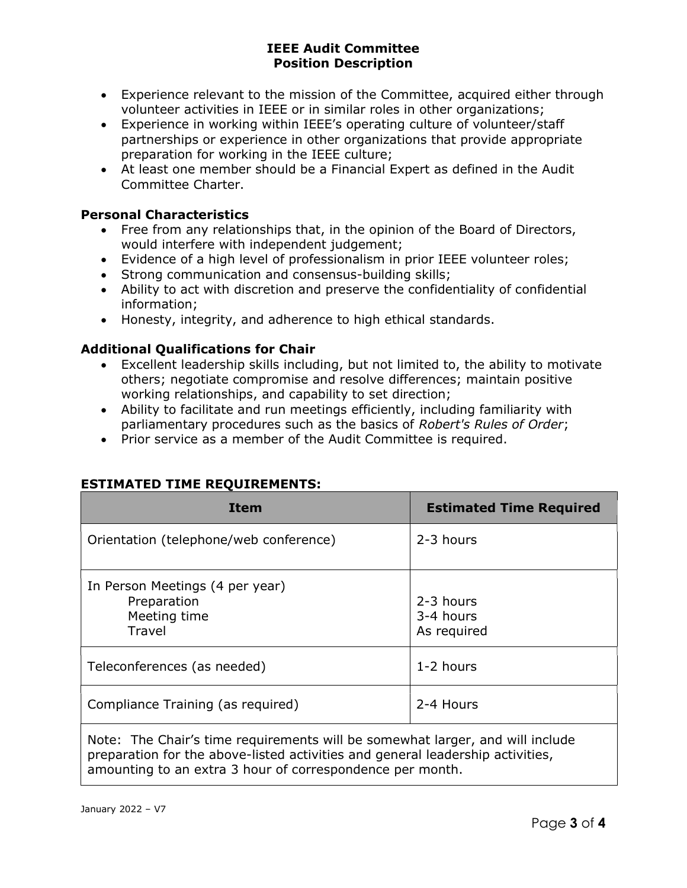- Experience relevant to the mission of the Committee, acquired either through volunteer activities in IEEE or in similar roles in other organizations;
- Experience in working within IEEE's operating culture of volunteer/staff partnerships or experience in other organizations that provide appropriate preparation for working in the IEEE culture;
- At least one member should be a Financial Expert as defined in the Audit Committee Charter.

# Personal Characteristics

- Free from any relationships that, in the opinion of the Board of Directors, would interfere with independent judgement;
- Evidence of a high level of professionalism in prior IEEE volunteer roles;
- Strong communication and consensus-building skills;
- Ability to act with discretion and preserve the confidentiality of confidential information;
- Honesty, integrity, and adherence to high ethical standards.

# Additional Qualifications for Chair

- Excellent leadership skills including, but not limited to, the ability to motivate others; negotiate compromise and resolve differences; maintain positive working relationships, and capability to set direction;
- Ability to facilitate and run meetings efficiently, including familiarity with parliamentary procedures such as the basics of Robert's Rules of Order;
- Prior service as a member of the Audit Committee is required.

| <b>Item</b>                                                              | <b>Estimated Time Required</b>        |
|--------------------------------------------------------------------------|---------------------------------------|
| Orientation (telephone/web conference)                                   | 2-3 hours                             |
| In Person Meetings (4 per year)<br>Preparation<br>Meeting time<br>Travel | 2-3 hours<br>3-4 hours<br>As required |
| Teleconferences (as needed)                                              | 1-2 hours                             |
| Compliance Training (as required)                                        | 2-4 Hours                             |

## ESTIMATED TIME REQUIREMENTS:

Note: The Chair's time requirements will be somewhat larger, and will include preparation for the above-listed activities and general leadership activities, amounting to an extra 3 hour of correspondence per month.